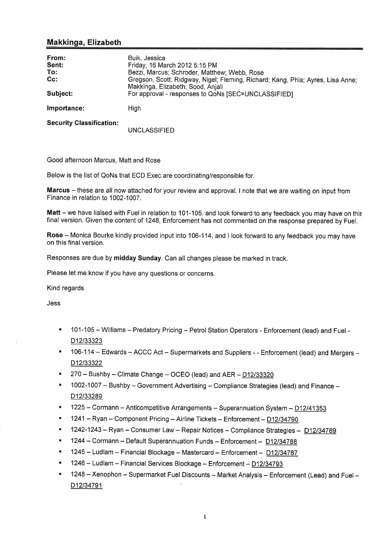# Makkinga, Elizabeth

| From:<br>Sent:<br>To:<br>$Cc$ :<br>Subject: | Buik, Jessica<br>Friday, 16 March 2012 5:15 PM<br>Bezzi, Marcus; Schroder, Matthew; Webb, Rose<br>Gregson, Scott; Ridgway, Nigel; Fleming, Richard; Kang, Phia; Ayres, Lisa Anne;<br>Makkinga, Elizabeth; Sood, Anjali<br>For approval - responses to QoNs [SEC=UNCLASSIFIED] |
|---------------------------------------------|-------------------------------------------------------------------------------------------------------------------------------------------------------------------------------------------------------------------------------------------------------------------------------|
| Importance:                                 | High                                                                                                                                                                                                                                                                          |
| <b>Security Classification:</b>             | UNCLASSIFIED                                                                                                                                                                                                                                                                  |

Good afternoon Marcus, Matt and Rose

Below is the list of QoNs that ECD Exec are coordinating/responsible for.

Marcus - these are all now attached for your review and approval. I note that we are waiting on input from Finance in relation to 1002-1007.

Matt - we have liaised with Fuel in relation to 101-105, and look forward to any feedback you may have on this final version. Given the content of 1248, Enforcement has not commented on the response prepared by Fuel.

Rose - Monica Bourke kindly provided input into 106-114, and I look forward to any feedback you may have on this final version.

Responses are due by midday Sunday. Can all changes please be marked in track.

Please let me know if you have any questions or concerns.

Kind regards

Jess

- "101-105 Williams Predatory Pricing Petrol Station Operators Enforcement (lead) and Fuel -D12/33323
- " 106-114 Edwards ACCC Act Supermarkets and Suppliers - Enforcement (lead) and Mergers -D12/33322
- $270 -$  Bushby Climate Change OCEO (lead) and AER D12/33320
- "1002-1007 Bushby Government Advertising Compliance Strategies (lead) and Finance -D12/33289
- $\blacksquare$  1225 Cormann Anticompetitive Arrangements Superannuation System  $D12/41353$
- **1241 Ryan Component Pricing Airline Tickets Enforcement D12/34790**
- $-1242-1243 Ryan Consumer Law Repair Notice Compliance Strategies  $\frac{D12/34789}{D12129295}$$
- 1244 Cormann Default Superannuation Funds Enforcement D12/34788
- <sup>1</sup> 1245 Ludlam Financial Blockage Mastercard Enforcement D12/34787
- . 1246 Ludlam Financial Services Blockage Enforcement-D12134793
- " 1248 Xenophon Supermarket Fuel Discounts Market Analysis Enforcement (Lead) and Fuel -D12/34791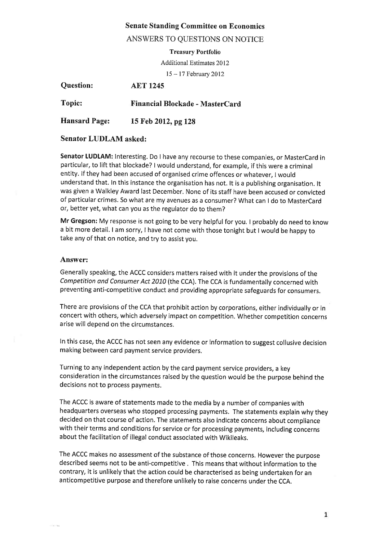## Senate Standing Committee on Economics

## ANSWERS TO QUESTIONS ON NOTICE

Treasury Portfolio

Additional Estimates 20 l2

<sup>15</sup>- l7 Februarv 2012

| <b>Question:</b>     | <b>AET 1245</b>                 |
|----------------------|---------------------------------|
| <b>Topic:</b>        | Financial Blockade - MasterCard |
| <b>Hansard Page:</b> | 15 Feb 2012, pg 128             |

#### Senator LUDLAM asked:

Senator LUDLAM: Interesting. Do I have any recourse to these companies, or MasterCard in particular, to lift that blockade? | would understand, for example, if this were a criminal entity. lf they had been accused of organised crime offences or whatever, I would understand that. In this instance the organisation has not. lt is a publishing organisation. lt was given a Walkley Award last December. None of its staff have been accused or convicted of particular crimes. So what are my avenues as a consumer? What can I do to Mastercard or, better yet, what can you as the regulator do to them?

Mr Gregson: My response is not going to be very helpful for you, I probably do need to know a bit more detail. I am sorry, I have not come with those tonight but I would be happy to take any of that on notice, and try to assist you.

#### Answer:

Generally speaking, the ACCC considers matters raised with it under the provisions of the Competition and Consumer Act 2010 (the CCA). The CCA is fundamentally concerned with preventing anti-competitive conduct and providing appropriate safeguards for consumers.

There are provisions of the CCA that prohibit action by corporations, either individually or in concert with others, which adversely impact on competition. Whether competition concerns arise will depend on the circumstances.

ln this case, the ACCC has not seen any evidence or information to suggest collusive decision making between card payment service providers.

Turning to any independent action by the card payment service providers, a key consideration in the circumstances raised by the question would be the purpose behind the decisions not to process payments.

The ACCC is aware of statements made to the media by a number of companies with headquarters overseas who stopped processing payments. The statements explain why they decided on that course of action. The statements also indicate concerns about compliance with their terms and conditions for service or for processing payments, including concerns about the facilitation of illegal conduct associated with Wikileaks.

The ACCC makes no assessment of the substance of those concerns. However the purpose described seems not to be anti-competitive . This means that without information to the contrary, it is unlikely that the action could be characterised as being undertaken for an anticompetitive purpose and therefore unlikely to raise concerns under the CCA.